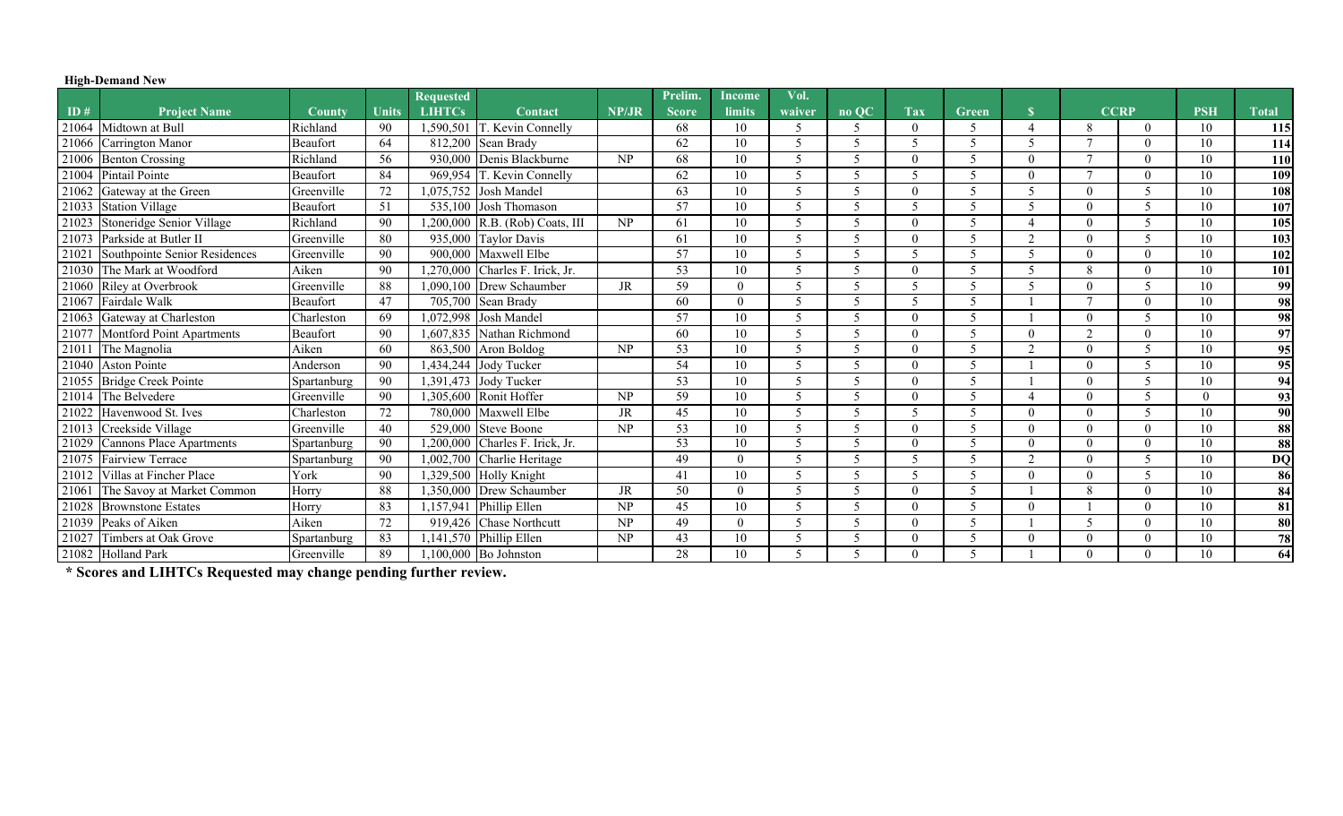## **High-Demand New**

|       |                                 |               |              | <b>Requested</b> |                                 |                        | Prelim.      | <b>Income</b> | Vol.                     |                          |                       |                          |                |                |             |            |                 |
|-------|---------------------------------|---------------|--------------|------------------|---------------------------------|------------------------|--------------|---------------|--------------------------|--------------------------|-----------------------|--------------------------|----------------|----------------|-------------|------------|-----------------|
| ID#   | <b>Project Name</b>             | <b>County</b> | <b>Units</b> | <b>LIHTCs</b>    | Contact                         | NP/JR                  | <b>Score</b> | limits        | waiver                   | no QC                    | <b>Tax</b>            | Green                    |                |                | <b>CCRP</b> | <b>PSH</b> | <b>Total</b>    |
|       | 21064 Midtown at Bull           | Richland      | 90           | 1,590,501        | T. Kevin Connelly               |                        | 68           | 10            | .5                       | 5                        |                       | 5                        | $\overline{4}$ | 8              | $\Omega$    | 10         | 115             |
|       | 21066 Carrington Manor          | Beaufort      | 64           | 812,200          | Sean Brady                      |                        | 62           | 10            | $\zeta$                  | 5                        | 5                     | 5                        | 5              | $\mathbf{r}$   | $\Omega$    | 10         | 114             |
|       | 21006 Benton Crossing           | Richland      | 56           |                  | 930,000 Denis Blackburne        | $\overline{\text{NP}}$ | 68           | 10            | -5                       | 5                        |                       | 5                        |                | $\overline{ }$ | $\Omega$    | 10         | 110             |
|       | 21004 Pintail Pointe            | Beaufort      | 84           |                  | 969,954 T. Kevin Connelly       |                        | 62           | 10            | -5                       | 5                        | 5                     | 5                        | $\Omega$       | $\mathbf{r}$   | $\Omega$    | 10         | 109             |
|       | 21062 Gateway at the Green      | Greenville    | 72           |                  | 1,075,752 Josh Mandel           |                        | 63           | 10            | $\overline{\mathcal{L}}$ | $\overline{\phantom{0}}$ |                       | $\overline{\mathcal{L}}$ | $\sim$         | $\theta$       |             | 10         | 108             |
| 21033 | <b>Station Village</b>          | Beaufort      | -51          |                  | 535,100 Josh Thomason           |                        | 57           | 10            | $\sqrt{2}$               | 5                        | $\tilde{\mathcal{L}}$ | 5                        |                | $\theta$       |             | 10         | 107             |
|       | 21023 Stoneridge Senior Village | Richland      | 90           |                  | 1,200,000 R.B. (Rob) Coats, III | NP                     | 61           | 10            | $\overline{\mathcal{L}}$ | 5                        |                       | 5                        |                | $\theta$       |             | 10         | 105             |
|       | 21073 Parkside at Butler II     | Greenville    | 80           |                  | 935,000 Taylor Davis            |                        | 61           | 10            | $\overline{\mathcal{L}}$ | 5                        |                       | 5                        | ി              | $\theta$       |             | 10         | 103             |
| 21021 | Southpointe Senior Residences   | Greenville    | 90           | 900,000          | Maxwell Elbe                    |                        | 57           | 10            | -5                       | 5                        | $\tilde{\mathcal{L}}$ | 5                        | 5              | $\theta$       | $\Omega$    | 10         | 102             |
|       | 21030 The Mark at Woodford      | Aiken         | 90           | 1,270,000        | Charles F. Irick, Jr.           |                        | 53           | 10            |                          | 5                        |                       | 5                        |                | 8              | $\Omega$    | 10         | 101             |
|       | 21060 Riley at Overbrook        | Greenville    | 88           | 1.090.100        | Drew Schaumber                  | <b>JR</b>              | 59           | $\Omega$      |                          | 5                        | 5                     | 5                        |                | $\Omega$       |             | 10         | 99              |
|       | 21067 Fairdale Walk             | Beaufort      | 47           |                  | 705,700 Sean Brady              |                        | 60           | $\theta$      |                          | 5                        | 5                     | 5                        |                | $\mathbf{r}$   | $\Omega$    | 10         | 98              |
|       | 21063 Gateway at Charleston     | Charleston    | 69           |                  | 1,072,998 Josh Mandel           |                        | 57           | 10            | $\overline{\mathcal{L}}$ | 5                        |                       | 5                        |                | $\theta$       |             | 10         | 98              |
|       | 21077 Montford Point Apartments | Beaufort      | 90           | 1.607.835        | Nathan Richmond                 |                        | 60           | 10            |                          | 5                        |                       | 5                        |                | $\gamma$       | $\Omega$    | 10         | 97              |
| 21011 | The Magnolia                    | Aiken         | 60           |                  | 863,500 Aron Boldog             | NP                     | 53           | 10            |                          | 5                        |                       | 5                        | $\bigcap$      | $\theta$       |             | 10         | 95              |
|       | 21040 Aston Pointe              | Anderson      | 90           |                  | 1,434,244 Jody Tucker           |                        | 54           | 10            |                          | 5                        |                       | 5                        |                | $\theta$       |             | 10         | $\overline{95}$ |
|       | 21055 Bridge Creek Pointe       | Spartanburg   | 90           |                  | 1,391,473 Jody Tucker           |                        | 53           | 10            | $\overline{\mathcal{L}}$ | 5                        |                       | $\overline{\mathcal{L}}$ |                | $\theta$       |             | 10         | 94              |
|       | 21014 The Belvedere             | Greenville    | 90           |                  | 1,305,600 Ronit Hoffer          | NP                     | 59           | 10            | $\overline{\mathcal{L}}$ | 5                        |                       | 5                        |                | $\theta$       |             | $\theta$   | 93              |
|       | 21022 Havenwood St. Ives        | Charleston    | 72           | 780,000          | Maxwell Elbe                    | JR                     | 45           | 10            |                          | 5                        |                       | 5                        |                | $\Omega$       |             | 10         | 90              |
|       | 21013 Creekside Village         | Greenville    | 40           | 529,000          | <b>Steve Boone</b>              | NP                     | 53           | 10            |                          | 5                        |                       | 5                        |                | $\theta$       | $\Omega$    | 10         | 88              |
| 21029 | Cannons Place Apartments        | Spartanburg   | 90           | 1,200,000        | Charles F. Irick, Jr.           |                        | 53           | 10            |                          | $\overline{\phantom{0}}$ |                       |                          | $\Omega$       | $\Omega$       | $\Omega$    | 10         | 88              |
|       | 21075 Fairview Terrace          | Spartanburg   | 90           | 1,002,700        | Charlie Heritage                |                        | 49           | $\Omega$      | $\overline{\phantom{0}}$ | $\overline{\phantom{0}}$ | 5                     | 5                        | ി              | $\Omega$       |             | 10         | <b>DQ</b>       |
| 21012 | Villas at Fincher Place         | York          | 90           | 1,329,500        | <b>Holly Knight</b>             |                        | 41           | 10            | .5                       | 5                        | 5                     | 5                        | $\Omega$       | $\theta$       |             | 10         | 86              |
| 21061 | The Savoy at Market Common      | Horry         | 88           | 1,350,000        | Drew Schaumber                  | <b>JR</b>              | 50           | $\Omega$      | $\overline{\phantom{0}}$ | 5                        |                       | 5                        |                | 8              | $\Omega$    | 10         | 84              |
|       | 21028 Brownstone Estates        | Horry         | 83           | 1,157,941        | Phillip Ellen                   | NP                     | 45           | 10            | $\overline{\phantom{0}}$ | 5                        |                       | 5                        | $\Omega$       |                | $\Omega$    | 10         | 81              |
|       | 21039 Peaks of Aiken            | Aiken         | 72           | 919,426          | <b>Chase Northcutt</b>          | NP                     | 49           | $\theta$      | -5                       | 5                        |                       | 5                        |                | 5              | $\Omega$    | 10         | 80              |
| 21027 | Timbers at Oak Grove            | Spartanburg   | 83           | 1,141,570        | Phillip Ellen                   | NP                     | 43           | 10            | $\overline{\mathcal{L}}$ | 5                        |                       | 5                        |                | $\Omega$       | $\Omega$    | 10         | 78              |
|       | 21082 Holland Park              | Greenville    | 89           |                  | $1,100,000$ Bo Johnston         |                        | 28           | 10            | -5                       | 5                        |                       | $\overline{\mathcal{L}}$ |                | $\theta$       | $\Omega$    | 10         | 64              |

**\* Scores and LIHTCs Requested may change pending further review.**